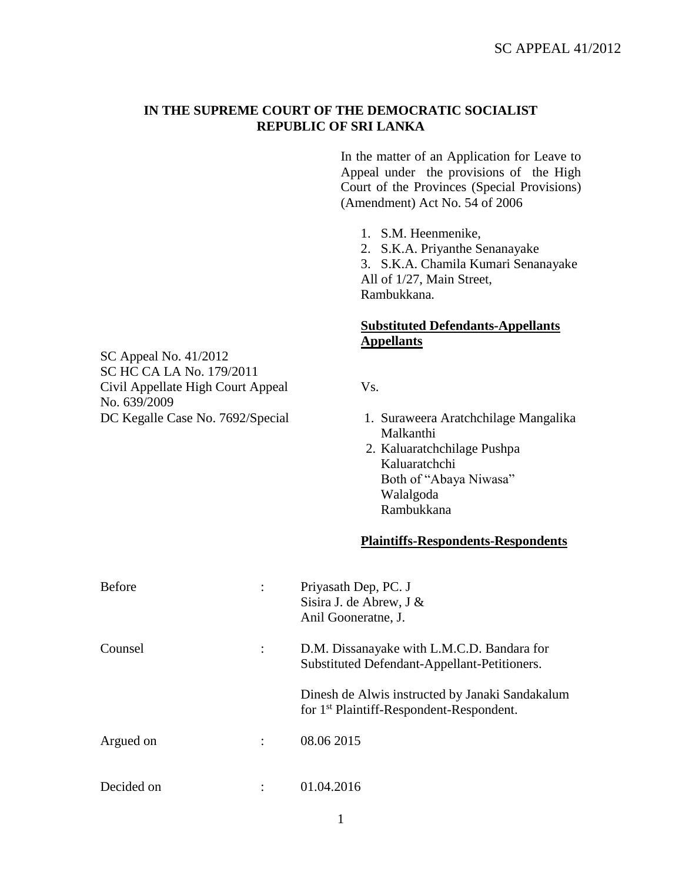## **IN THE SUPREME COURT OF THE DEMOCRATIC SOCIALIST REPUBLIC OF SRI LANKA**

In the matter of an Application for Leave to Appeal under the provisions of the High Court of the Provinces (Special Provisions) (Amendment) Act No. 54 of 2006

1. S.M. Heenmenike,

2. S.K.A. Priyanthe Senanayake

3. S.K.A. Chamila Kumari Senanayake All of 1/27, Main Street, Rambukkana.

## **Substituted Defendants-Appellants Appellants**

- DC Kegalle Case No. 7692/Special 1. Suraweera Aratchchilage Mangalika Malkanthi
	- 2. Kaluaratchchilage Pushpa Kaluaratchchi Both of "Abaya Niwasa" Walalgoda Rambukkana

## **Plaintiffs-Respondents-Respondents**

| <b>Before</b> |                | Priyasath Dep, PC. J<br>Sisira J. de Abrew, J &<br>Anil Gooneratne, J.                                  |
|---------------|----------------|---------------------------------------------------------------------------------------------------------|
| Counsel       |                | D.M. Dissanayake with L.M.C.D. Bandara for<br>Substituted Defendant-Appellant-Petitioners.              |
|               |                | Dinesh de Alwis instructed by Janaki Sandakalum<br>for 1 <sup>st</sup> Plaintiff-Respondent-Respondent. |
| Argued on     | $\ddot{\cdot}$ | 08.06 2015                                                                                              |
| Decided on    |                | 01.04.2016                                                                                              |

SC Appeal No. 41/2012 SC HC CA LA No. 179/2011 Civil Appellate High Court Appeal Vs. No. 639/2009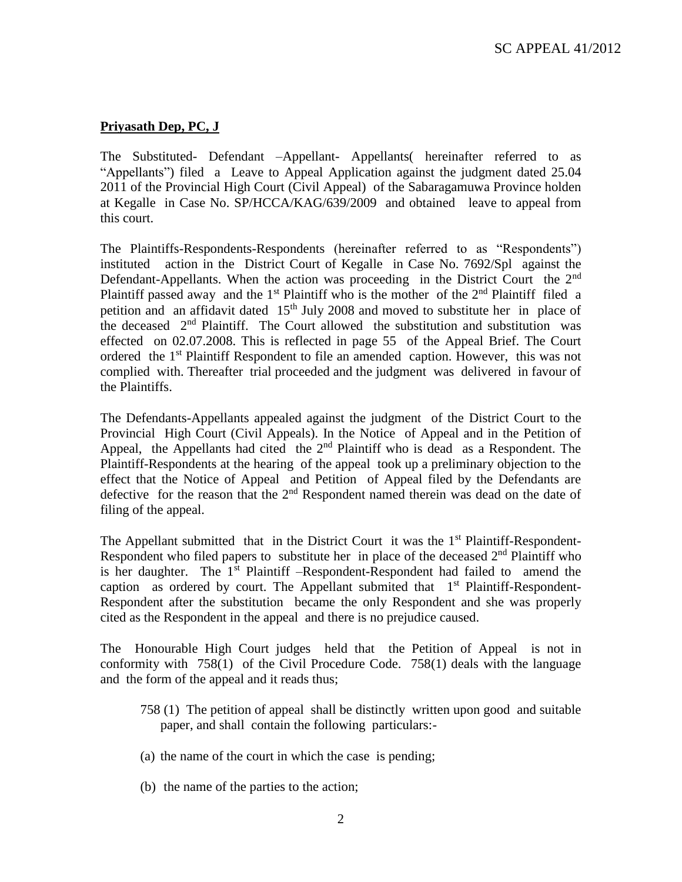## **Priyasath Dep, PC, J**

The Substituted- Defendant –Appellant- Appellants( hereinafter referred to as "Appellants") filed a Leave to Appeal Application against the judgment dated 25.04 2011 of the Provincial High Court (Civil Appeal) of the Sabaragamuwa Province holden at Kegalle in Case No. SP/HCCA/KAG/639/2009 and obtained leave to appeal from this court.

The Plaintiffs-Respondents-Respondents (hereinafter referred to as "Respondents") instituted action in the District Court of Kegalle in Case No. 7692/Spl against the Defendant-Appellants. When the action was proceeding in the District Court the 2<sup>nd</sup> Plaintiff passed away and the 1<sup>st</sup> Plaintiff who is the mother of the  $2<sup>nd</sup>$  Plaintiff filed a petition and an affidavit dated  $15<sup>th</sup>$  July 2008 and moved to substitute her in place of the deceased  $2<sup>nd</sup>$  Plaintiff. The Court allowed the substitution and substitution was effected on 02.07.2008. This is reflected in page 55 of the Appeal Brief. The Court ordered the 1st Plaintiff Respondent to file an amended caption. However, this was not complied with. Thereafter trial proceeded and the judgment was delivered in favour of the Plaintiffs.

The Defendants-Appellants appealed against the judgment of the District Court to the Provincial High Court (Civil Appeals). In the Notice of Appeal and in the Petition of Appeal, the Appellants had cited the  $2<sup>nd</sup>$  Plaintiff who is dead as a Respondent. The Plaintiff-Respondents at the hearing of the appeal took up a preliminary objection to the effect that the Notice of Appeal and Petition of Appeal filed by the Defendants are defective for the reason that the 2<sup>nd</sup> Respondent named therein was dead on the date of filing of the appeal.

The Appellant submitted that in the District Court it was the  $1<sup>st</sup>$  Plaintiff-Respondent-Respondent who filed papers to substitute her in place of the deceased  $2<sup>nd</sup>$  Plaintiff who is her daughter. The  $1<sup>st</sup>$  Plaintiff –Respondent-Respondent had failed to amend the caption as ordered by court. The Appellant submited that  $1<sup>st</sup>$  Plaintiff-Respondent-Respondent after the substitution became the only Respondent and she was properly cited as the Respondent in the appeal and there is no prejudice caused.

The Honourable High Court judges held that the Petition of Appeal is not in conformity with 758(1) of the Civil Procedure Code. 758(1) deals with the language and the form of the appeal and it reads thus;

- 758 (1) The petition of appeal shall be distinctly written upon good and suitable paper, and shall contain the following particulars:-
- (a) the name of the court in which the case is pending;
- (b) the name of the parties to the action;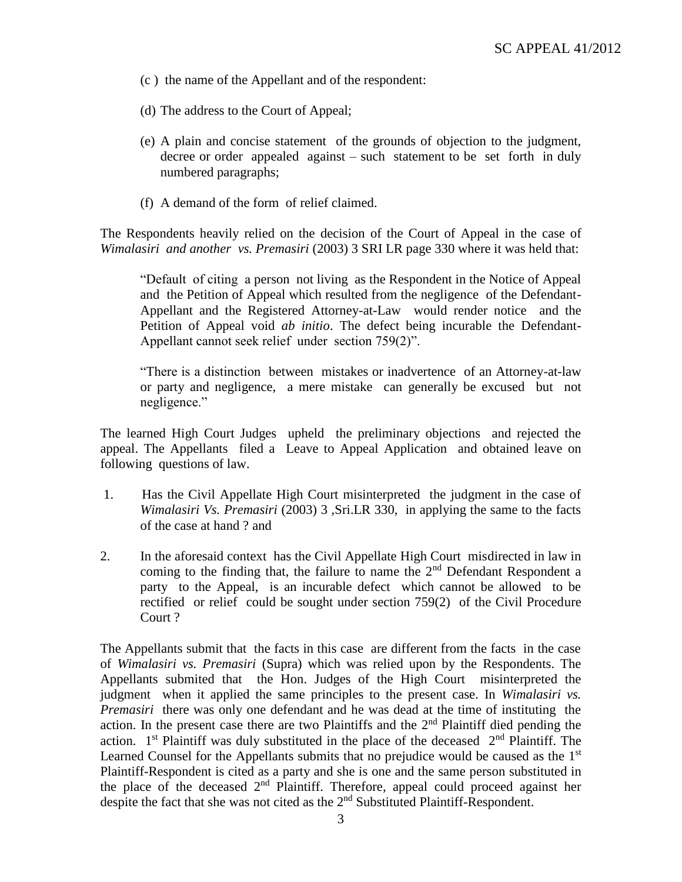- (c ) the name of the Appellant and of the respondent:
- (d) The address to the Court of Appeal;
- (e) A plain and concise statement of the grounds of objection to the judgment, decree or order appealed against – such statement to be set forth in duly numbered paragraphs;
- (f) A demand of the form of relief claimed.

The Respondents heavily relied on the decision of the Court of Appeal in the case of *Wimalasiri and another vs. Premasiri* (2003) 3 SRI LR page 330 where it was held that:

"Default of citing a person not living as the Respondent in the Notice of Appeal and the Petition of Appeal which resulted from the negligence of the Defendant-Appellant and the Registered Attorney-at-Law would render notice and the Petition of Appeal void *ab initio*. The defect being incurable the Defendant-Appellant cannot seek relief under section 759(2)".

"There is a distinction between mistakes or inadvertence of an Attorney-at-law or party and negligence, a mere mistake can generally be excused but not negligence."

The learned High Court Judges upheld the preliminary objections and rejected the appeal. The Appellants filed a Leave to Appeal Application and obtained leave on following questions of law.

- 1. Has the Civil Appellate High Court misinterpreted the judgment in the case of *Wimalasiri Vs. Premasiri* (2003) 3 ,Sri.LR 330, in applying the same to the facts of the case at hand ? and
- 2. In the aforesaid context has the Civil Appellate High Court misdirected in law in coming to the finding that, the failure to name the  $2<sup>nd</sup>$  Defendant Respondent a party to the Appeal, is an incurable defect which cannot be allowed to be rectified or relief could be sought under section 759(2) of the Civil Procedure Court ?

The Appellants submit that the facts in this case are different from the facts in the case of *Wimalasiri vs. Premasiri* (Supra) which was relied upon by the Respondents. The Appellants submited that the Hon. Judges of the High Court misinterpreted the judgment when it applied the same principles to the present case. In *Wimalasiri vs. Premasiri* there was only one defendant and he was dead at the time of instituting the action. In the present case there are two Plaintiffs and the  $2<sup>nd</sup>$  Plaintiff died pending the action.  $1<sup>st</sup>$  Plaintiff was duly substituted in the place of the deceased  $2<sup>nd</sup>$  Plaintiff. The Learned Counsel for the Appellants submits that no prejudice would be caused as the 1<sup>st</sup> Plaintiff-Respondent is cited as a party and she is one and the same person substituted in the place of the deceased  $2<sup>nd</sup>$  Plaintiff. Therefore, appeal could proceed against her despite the fact that she was not cited as the  $2<sup>nd</sup>$  Substituted Plaintiff-Respondent.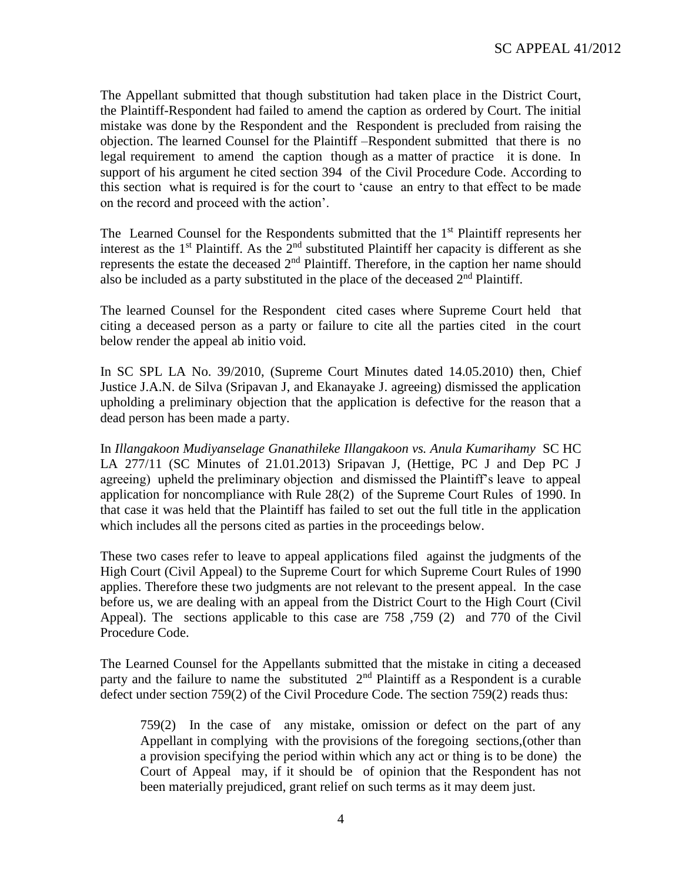The Appellant submitted that though substitution had taken place in the District Court, the Plaintiff-Respondent had failed to amend the caption as ordered by Court. The initial mistake was done by the Respondent and the Respondent is precluded from raising the objection. The learned Counsel for the Plaintiff –Respondent submitted that there is no legal requirement to amend the caption though as a matter of practice it is done. In support of his argument he cited section 394 of the Civil Procedure Code. According to this section what is required is for the court to 'cause an entry to that effect to be made on the record and proceed with the action'.

The Learned Counsel for the Respondents submitted that the  $1<sup>st</sup>$  Plaintiff represents her interest as the  $1<sup>st</sup>$  Plaintiff. As the  $2<sup>nd</sup>$  substituted Plaintiff her capacity is different as she represents the estate the deceased  $2<sup>nd</sup>$  Plaintiff. Therefore, in the caption her name should also be included as a party substituted in the place of the deceased  $2<sup>nd</sup>$  Plaintiff.

The learned Counsel for the Respondent cited cases where Supreme Court held that citing a deceased person as a party or failure to cite all the parties cited in the court below render the appeal ab initio void.

In SC SPL LA No. 39/2010, (Supreme Court Minutes dated 14.05.2010) then, Chief Justice J.A.N. de Silva (Sripavan J, and Ekanayake J. agreeing) dismissed the application upholding a preliminary objection that the application is defective for the reason that a dead person has been made a party.

In *Illangakoon Mudiyanselage Gnanathileke Illangakoon vs. Anula Kumarihamy* SC HC LA 277/11 (SC Minutes of 21.01.2013) Sripavan J, (Hettige, PC J and Dep PC J agreeing) upheld the preliminary objection and dismissed the Plaintiff's leave to appeal application for noncompliance with Rule 28(2) of the Supreme Court Rules of 1990. In that case it was held that the Plaintiff has failed to set out the full title in the application which includes all the persons cited as parties in the proceedings below.

These two cases refer to leave to appeal applications filed against the judgments of the High Court (Civil Appeal) to the Supreme Court for which Supreme Court Rules of 1990 applies. Therefore these two judgments are not relevant to the present appeal. In the case before us, we are dealing with an appeal from the District Court to the High Court (Civil Appeal). The sections applicable to this case are 758 ,759 (2) and 770 of the Civil Procedure Code.

The Learned Counsel for the Appellants submitted that the mistake in citing a deceased party and the failure to name the substituted  $2<sup>nd</sup>$  Plaintiff as a Respondent is a curable defect under section 759(2) of the Civil Procedure Code. The section 759(2) reads thus:

759(2) In the case of any mistake, omission or defect on the part of any Appellant in complying with the provisions of the foregoing sections,(other than a provision specifying the period within which any act or thing is to be done) the Court of Appeal may, if it should be of opinion that the Respondent has not been materially prejudiced, grant relief on such terms as it may deem just.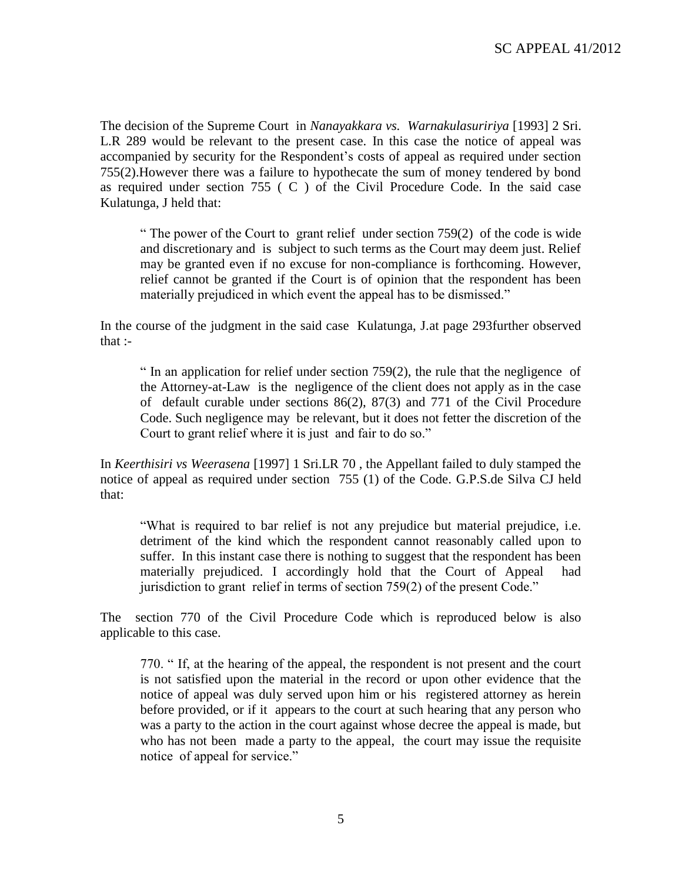The decision of the Supreme Court in *Nanayakkara vs. Warnakulasuririya* [1993] 2 Sri. L.R 289 would be relevant to the present case. In this case the notice of appeal was accompanied by security for the Respondent's costs of appeal as required under section 755(2).However there was a failure to hypothecate the sum of money tendered by bond as required under section 755 ( C ) of the Civil Procedure Code. In the said case Kulatunga, J held that:

" The power of the Court to grant relief under section  $759(2)$  of the code is wide and discretionary and is subject to such terms as the Court may deem just. Relief may be granted even if no excuse for non-compliance is forthcoming. However, relief cannot be granted if the Court is of opinion that the respondent has been materially prejudiced in which event the appeal has to be dismissed."

In the course of the judgment in the said case Kulatunga, J.at page 293further observed that :-

" In an application for relief under section  $759(2)$ , the rule that the negligence of the Attorney-at-Law is the negligence of the client does not apply as in the case of default curable under sections 86(2), 87(3) and 771 of the Civil Procedure Code. Such negligence may be relevant, but it does not fetter the discretion of the Court to grant relief where it is just and fair to do so."

In *Keerthisiri vs Weerasena* [1997] 1 Sri.LR 70 , the Appellant failed to duly stamped the notice of appeal as required under section 755 (1) of the Code. G.P.S.de Silva CJ held that:

"What is required to bar relief is not any prejudice but material prejudice, i.e. detriment of the kind which the respondent cannot reasonably called upon to suffer. In this instant case there is nothing to suggest that the respondent has been materially prejudiced. I accordingly hold that the Court of Appeal had jurisdiction to grant relief in terms of section 759(2) of the present Code."

The section 770 of the Civil Procedure Code which is reproduced below is also applicable to this case.

770. " If, at the hearing of the appeal, the respondent is not present and the court is not satisfied upon the material in the record or upon other evidence that the notice of appeal was duly served upon him or his registered attorney as herein before provided, or if it appears to the court at such hearing that any person who was a party to the action in the court against whose decree the appeal is made, but who has not been made a party to the appeal, the court may issue the requisite notice of appeal for service."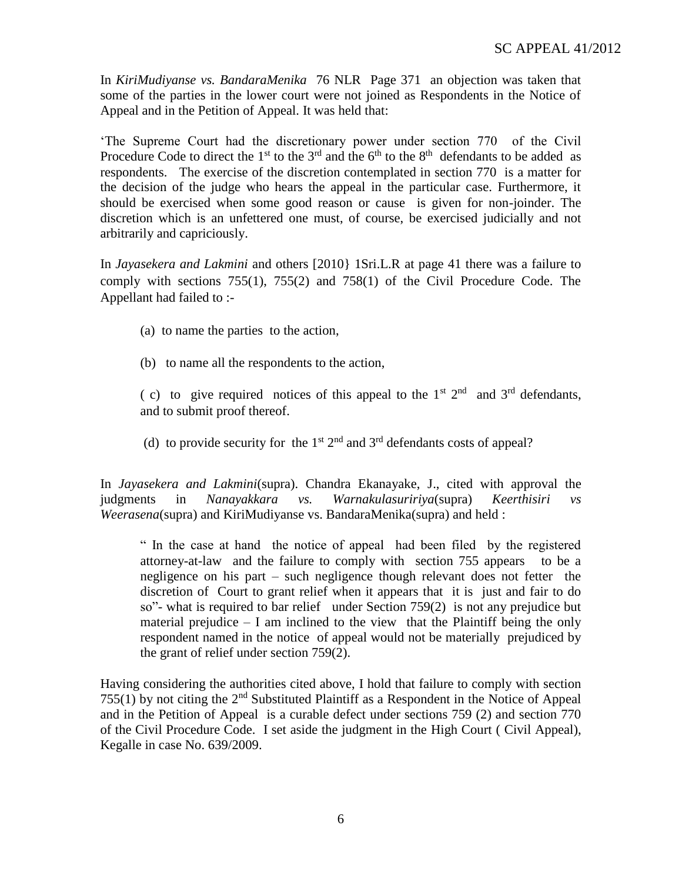In *KiriMudiyanse vs. BandaraMenika* 76 NLR Page 371 an objection was taken that some of the parties in the lower court were not joined as Respondents in the Notice of Appeal and in the Petition of Appeal. It was held that:

'The Supreme Court had the discretionary power under section 770 of the Civil Procedure Code to direct the 1<sup>st</sup> to the 3<sup>rd</sup> and the 6<sup>th</sup> to the 8<sup>th</sup> defendants to be added as respondents. The exercise of the discretion contemplated in section 770 is a matter for the decision of the judge who hears the appeal in the particular case. Furthermore, it should be exercised when some good reason or cause is given for non-joinder. The discretion which is an unfettered one must, of course, be exercised judicially and not arbitrarily and capriciously.

In *Jayasekera and Lakmini* and others [2010} 1Sri.L.R at page 41 there was a failure to comply with sections 755(1), 755(2) and 758(1) of the Civil Procedure Code. The Appellant had failed to :-

- (a) to name the parties to the action,
- (b) to name all the respondents to the action,

(c) to give required notices of this appeal to the  $1<sup>st</sup>$  2<sup>nd</sup> and  $3<sup>rd</sup>$  defendants, and to submit proof thereof.

(d) to provide security for the  $1<sup>st</sup> 2<sup>nd</sup>$  and  $3<sup>rd</sup>$  defendants costs of appeal?

In *Jayasekera and Lakmini*(supra). Chandra Ekanayake, J., cited with approval the judgments in *Nanayakkara vs. Warnakulasuririya*(supra) *Keerthisiri vs Weerasena*(supra) and KiriMudiyanse vs. BandaraMenika(supra) and held :

" In the case at hand the notice of appeal had been filed by the registered attorney-at-law and the failure to comply with section 755 appears to be a negligence on his part – such negligence though relevant does not fetter the discretion of Court to grant relief when it appears that it is just and fair to do so"- what is required to bar relief under Section 759(2) is not any prejudice but material prejudice  $-1$  am inclined to the view that the Plaintiff being the only respondent named in the notice of appeal would not be materially prejudiced by the grant of relief under section 759(2).

Having considering the authorities cited above, I hold that failure to comply with section 755(1) by not citing the 2nd Substituted Plaintiff as a Respondent in the Notice of Appeal and in the Petition of Appeal is a curable defect under sections 759 (2) and section 770 of the Civil Procedure Code. I set aside the judgment in the High Court ( Civil Appeal), Kegalle in case No. 639/2009.